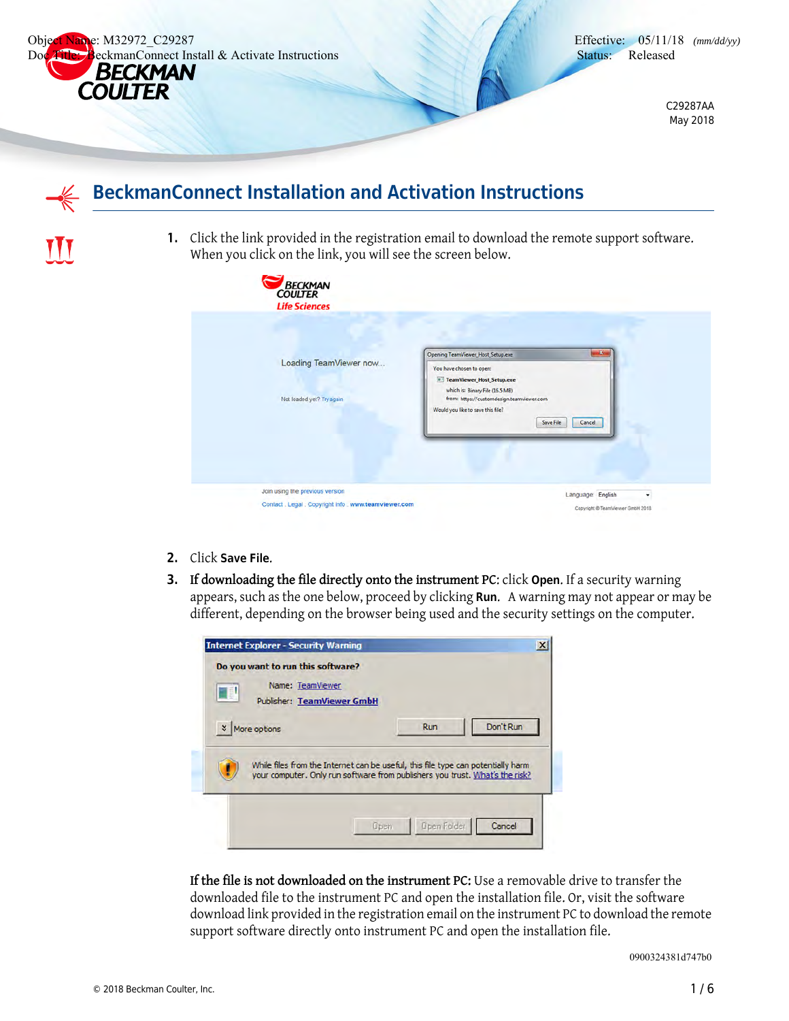

TTT



C29287AA May 2018

## **BeckmanConnect Installation and Activation Instructions**

**1.** Click the link provided in the registration email to download the remote support software. When you click on the link, you will see the screen below.

|                                                     | $\mathbf{x}$<br>Opening TeamViewer_Host_Setup.exe                                                                                                                                   |
|-----------------------------------------------------|-------------------------------------------------------------------------------------------------------------------------------------------------------------------------------------|
| Loading TeamViewer now<br>Not loaded yet? Try again | You have chosen to open:<br><b>E</b> TeamViewer_Host_Setup.exe<br>which is: Binary File (16.5 MB)<br>from: https://customdesign.teamviewer.com<br>Would you like to save this file? |
|                                                     | Save File<br>Cancel                                                                                                                                                                 |

- **2.** Click **Save File**.
- **3. If downloading the file directly onto the instrument PC**: click **Open**. If a security warning appears, such as the one below, proceed by clicking **Run**. A warning may not appear or may be different, depending on the browser being used and the security settings on the computer.

| Do you want to run this software?<br>Name: TeamViewer<br>B<br><b>Publisher: TeamViewer GmbH</b> |                                                                                                                                                                  |           |
|-------------------------------------------------------------------------------------------------|------------------------------------------------------------------------------------------------------------------------------------------------------------------|-----------|
| More options<br>$\boldsymbol{\mathsf{x}}$                                                       | <b>Run</b>                                                                                                                                                       | Don't Run |
|                                                                                                 | While files from the Internet can be useful, this file type can potentially harm<br>your computer. Only run software from publishers you trust. What's the risk? |           |
|                                                                                                 |                                                                                                                                                                  |           |

**If the file is not downloaded on the instrument PC:** Use a removable drive to transfer the downloaded file to the instrument PC and open the installation file. Or, visit the software download link provided in the registration email on the instrument PC to download the remote support software directly onto instrument PC and open the installation file.

0900324381d747b0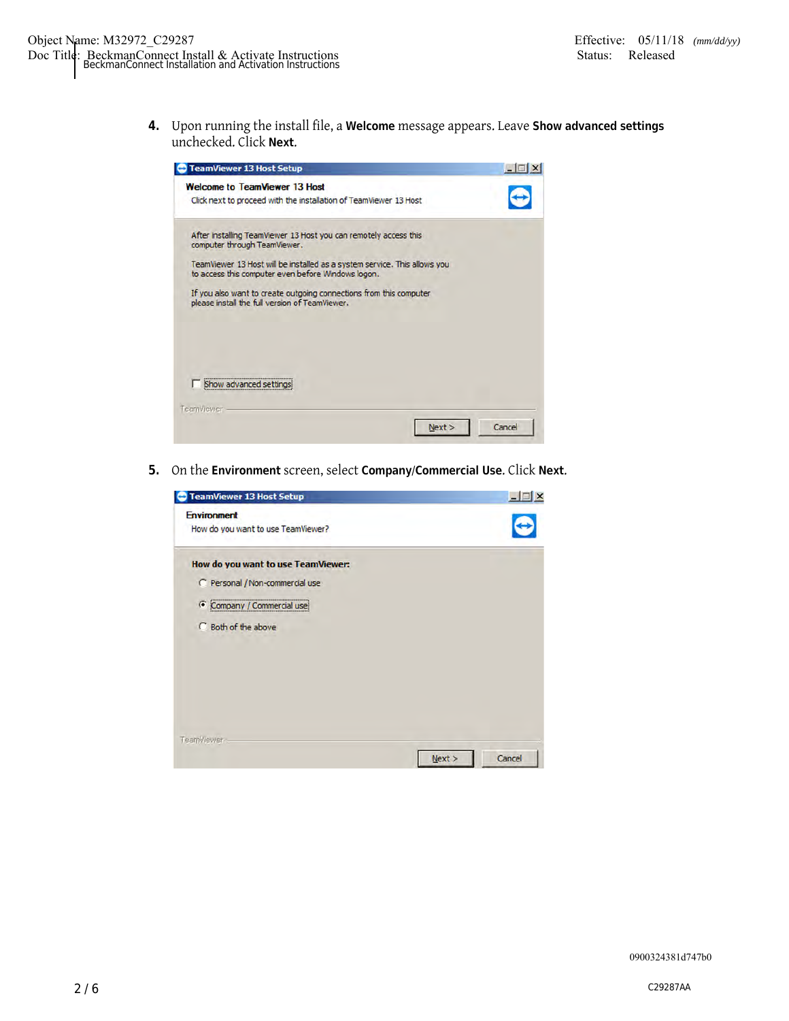**4.** Upon running the install file, a **Welcome** message appears. Leave **Show advanced settings** unchecked. Click **Next**.



**5.** On the **Environment** screen, select **Company/Commercial Use**. Click **Next**.

| <b>TeamViewer 13 Host Setup</b>                                                                                          |                  |  |
|--------------------------------------------------------------------------------------------------------------------------|------------------|--|
| <b>Environment</b><br>How do you want to use TeamViewer?                                                                 |                  |  |
| How do you want to use TeamViewer:<br>C Personal / Non-commercial use<br>Company / Commercial use<br>C Both of the above |                  |  |
| TeamViewer-                                                                                                              | Next ><br>Cancel |  |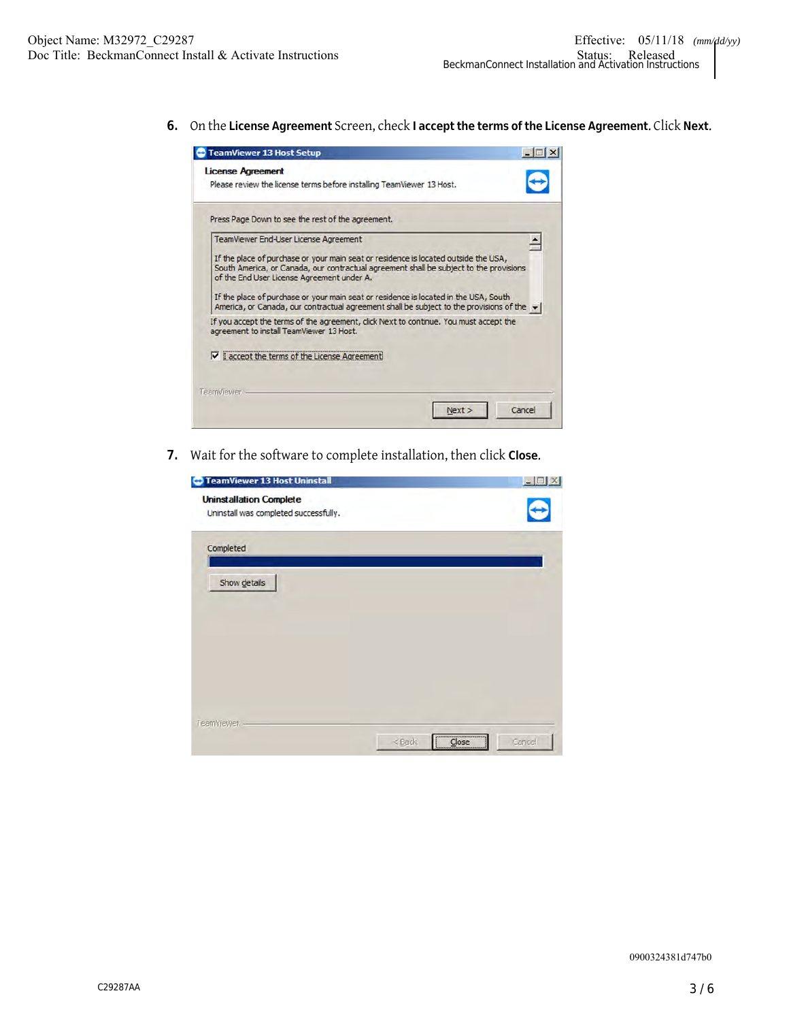**6.** On the **License Agreement** Screen, check **I accept the terms of the License Agreement**. Click **Next**.

| <b>TeamViewer 13 Host Setup</b>                                                                                                                                                                                                                                                                                     |  |
|---------------------------------------------------------------------------------------------------------------------------------------------------------------------------------------------------------------------------------------------------------------------------------------------------------------------|--|
| <b>License Agreement</b><br>Please review the license terms before installing TeamViewer 13 Host.                                                                                                                                                                                                                   |  |
| Press Page Down to see the rest of the agreement.                                                                                                                                                                                                                                                                   |  |
| <b>TeamViewer End-User License Agreement</b>                                                                                                                                                                                                                                                                        |  |
| If the place of purchase or your main seat or residence is located outside the USA,<br>South America, or Canada, our contractual agreement shall be subject to the provisions<br>of the End User License Agreement under A.<br>If the place of purchase or your main seat or residence is located in the USA, South |  |
| America, or Canada, our contractual agreement shall be subject to the provisions of the $\blacktriangleright$<br>If you accept the terms of the agreement, dick Next to continue. You must accept the                                                                                                               |  |
| agreement to install TeamViewer 13 Host.<br>V I accept the terms of the License Agreemer                                                                                                                                                                                                                            |  |
|                                                                                                                                                                                                                                                                                                                     |  |
| <b>TeamViewer</b>                                                                                                                                                                                                                                                                                                   |  |
|                                                                                                                                                                                                                                                                                                                     |  |

**7.** Wait for the software to complete installation, then click **Close**.

| <b>TeamViewer 13 Host Uninstall</b>                                     |                     |
|-------------------------------------------------------------------------|---------------------|
| <b>Uninstallation Complete</b><br>Uninstall was completed successfully. |                     |
| Completed                                                               |                     |
| Show details                                                            |                     |
|                                                                         |                     |
|                                                                         |                     |
|                                                                         |                     |
| TeamViewer -                                                            |                     |
| <back< td=""><td><br/>Cancel<br/>Close</td></back<>                     | <br>Cancel<br>Close |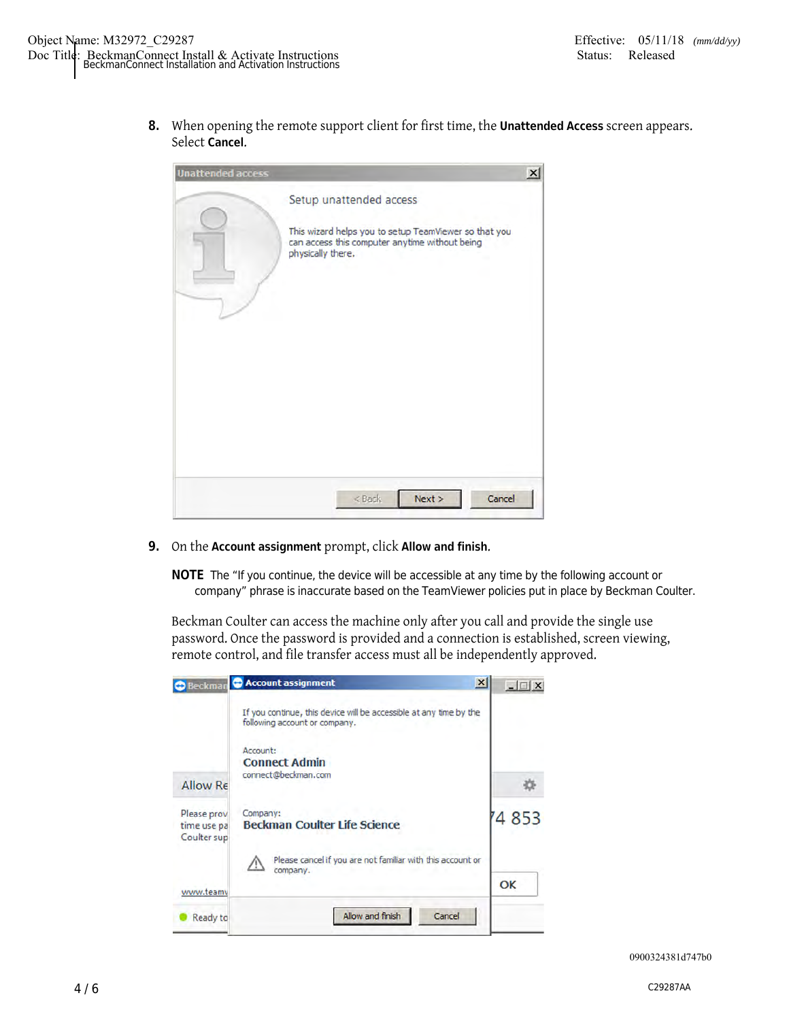**8.** When opening the remote support client for first time, the **Unattended Access** screen appears. Select **Cancel**.

| <b>Unattended access</b> |                                                                                                                                                         | $\times$ |
|--------------------------|---------------------------------------------------------------------------------------------------------------------------------------------------------|----------|
|                          | Setup unattended access<br>This wizard helps you to setup TeamViewer so that you<br>can access this computer anytime without being<br>physically there. |          |
|                          | Next ><br>Cancel<br>$<$ Back                                                                                                                            |          |

**9.** On the **Account assignment** prompt, click **Allow and finish**.

**NOTE** The "If you continue, the device will be accessible at any time by the following account or company" phrase is inaccurate based on the TeamViewer policies put in place by Beckman Coulter.

Beckman Coulter can access the machine only after you call and provide the single use password. Once the password is provided and a connection is established, screen viewing, remote control, and file transfer access must all be independently approved.

|                                           | <b>O</b> Beckman C Account assignment<br>$\vert x \vert$                                            | $ \Box$ $\times$ |
|-------------------------------------------|-----------------------------------------------------------------------------------------------------|------------------|
|                                           | If you continue, this device will be accessible at any time by the<br>following account or company. |                  |
|                                           | Account:<br><b>Connect Admin</b>                                                                    |                  |
| Allow Re                                  | connect@beckman.com                                                                                 |                  |
| Please prov<br>time use pa<br>Coulter sup | Company:<br><b>Beckman Coulter Life Science</b>                                                     | 4 8 5 3          |
|                                           | Please cancel if you are not familiar with this account or<br>4<br>company.                         |                  |
| www.teamv                                 |                                                                                                     | OK               |
| Ready to                                  | Allow and finish<br>Cancel                                                                          |                  |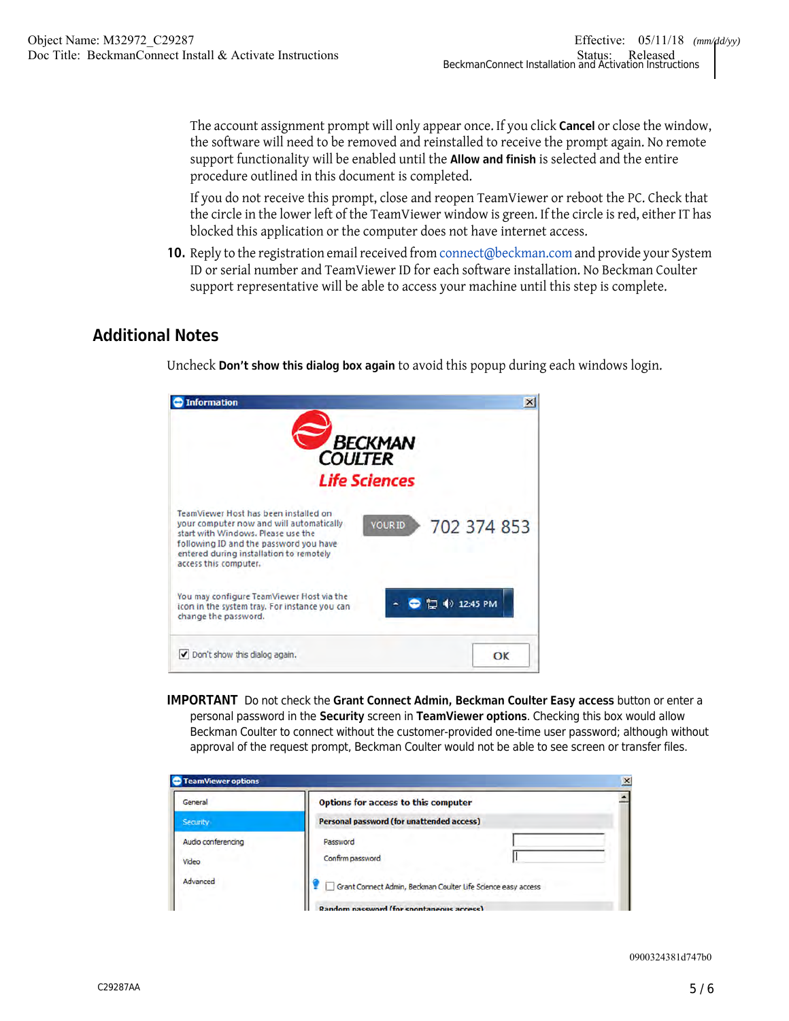The account assignment prompt will only appear once. If you click **Cancel** or close the window, the software will need to be removed and reinstalled to receive the prompt again. No remote support functionality will be enabled until the **Allow and finish** is selected and the entire procedure outlined in this document is completed.

If you do not receive this prompt, close and reopen TeamViewer or reboot the PC. Check that the circle in the lower left of the TeamViewer window is green. If the circle is red, either IT has blocked this application or the computer does not have internet access.

**10.** Reply to the registration email received from connect@beckman.com and provide your System ID or serial number and TeamViewer ID for each software installation. No Beckman Coulter support representative will be able to access your machine until this step is complete.

## **Additional Notes**

Uncheck **Don't show this dialog box again** to avoid this popup during each windows login.



**IMPORTANT** Do not check the **Grant Connect Admin, Beckman Coulter Easy access** button or enter a personal password in the **Security** screen in **TeamViewer options**. Checking this box would allow Beckman Coulter to connect without the customer-provided one-time user password; although without approval of the request prompt, Beckman Coulter would not be able to see screen or transfer files.

| General                     | Options for access to this computer                           |  |
|-----------------------------|---------------------------------------------------------------|--|
| Security                    | Personal password (for unattended access)                     |  |
| Audio conferencing<br>Video | Password<br>Confirm password                                  |  |
| Advanced                    | Grant Connect Admin, Beckman Coulter Life Science easy access |  |

0900324381d747b0